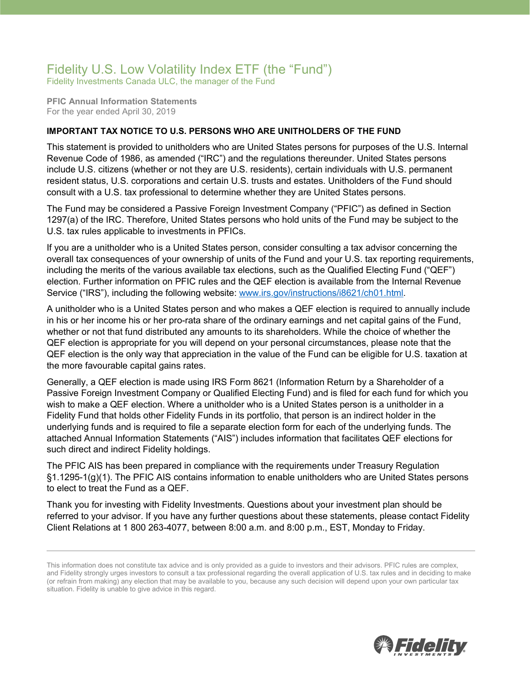## Fidelity U.S. Low Volatility Index ETF (the "Fund")

Fidelity Investments Canada ULC, the manager of the Fund

**PFIC Annual Information Statements** For the year ended April 30, 2019

## **IMPORTANT TAX NOTICE TO U.S. PERSONS WHO ARE UNITHOLDERS OF THE FUND**

This statement is provided to unitholders who are United States persons for purposes of the U.S. Internal Revenue Code of 1986, as amended ("IRC") and the regulations thereunder. United States persons include U.S. citizens (whether or not they are U.S. residents), certain individuals with U.S. permanent resident status, U.S. corporations and certain U.S. trusts and estates. Unitholders of the Fund should consult with a U.S. tax professional to determine whether they are United States persons.

The Fund may be considered a Passive Foreign Investment Company ("PFIC") as defined in Section 1297(a) of the IRC. Therefore, United States persons who hold units of the Fund may be subject to the U.S. tax rules applicable to investments in PFICs.

If you are a unitholder who is a United States person, consider consulting a tax advisor concerning the overall tax consequences of your ownership of units of the Fund and your U.S. tax reporting requirements, including the merits of the various available tax elections, such as the Qualified Electing Fund ("QEF") election. Further information on PFIC rules and the QEF election is available from the Internal Revenue Service ("IRS"), including the following website: [www.irs.gov/instructions/i8621/ch01.html.](http://www.irs.gov/instructions/i8621/ch01.html)

A unitholder who is a United States person and who makes a QEF election is required to annually include in his or her income his or her pro-rata share of the ordinary earnings and net capital gains of the Fund, whether or not that fund distributed any amounts to its shareholders. While the choice of whether the QEF election is appropriate for you will depend on your personal circumstances, please note that the QEF election is the only way that appreciation in the value of the Fund can be eligible for U.S. taxation at the more favourable capital gains rates.

Generally, a QEF election is made using IRS Form 8621 (Information Return by a Shareholder of a Passive Foreign Investment Company or Qualified Electing Fund) and is filed for each fund for which you wish to make a QEF election. Where a unitholder who is a United States person is a unitholder in a Fidelity Fund that holds other Fidelity Funds in its portfolio, that person is an indirect holder in the underlying funds and is required to file a separate election form for each of the underlying funds. The attached Annual Information Statements ("AIS") includes information that facilitates QEF elections for such direct and indirect Fidelity holdings.

The PFIC AIS has been prepared in compliance with the requirements under Treasury Regulation §1.1295-1(g)(1). The PFIC AIS contains information to enable unitholders who are United States persons to elect to treat the Fund as a QEF.

Thank you for investing with Fidelity Investments. Questions about your investment plan should be referred to your advisor. If you have any further questions about these statements, please contact Fidelity Client Relations at 1 800 263-4077, between 8:00 a.m. and 8:00 p.m., EST, Monday to Friday.



This information does not constitute tax advice and is only provided as a guide to investors and their advisors. PFIC rules are complex, and Fidelity strongly urges investors to consult a tax professional regarding the overall application of U.S. tax rules and in deciding to make (or refrain from making) any election that may be available to you, because any such decision will depend upon your own particular tax situation. Fidelity is unable to give advice in this regard.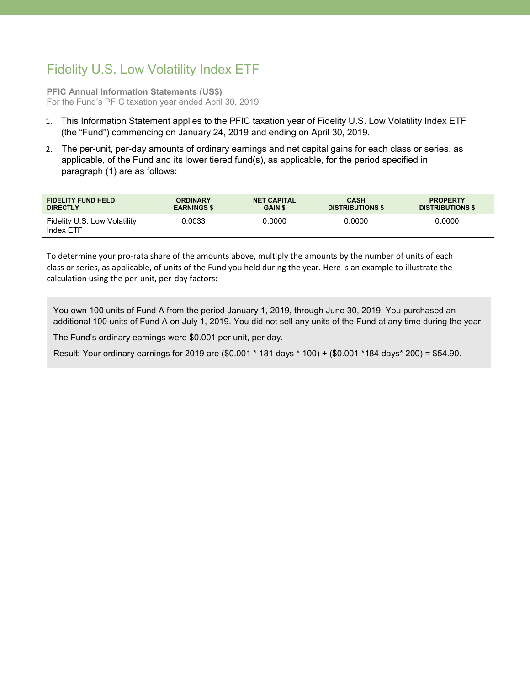## Fidelity U.S. Low Volatility Index ETF

**PFIC Annual Information Statements (US\$)** For the Fund's PFIC taxation year ended April 30, 2019

- 1. This Information Statement applies to the PFIC taxation year of Fidelity U.S. Low Volatility Index ETF (the "Fund") commencing on January 24, 2019 and ending on April 30, 2019.
- 2. The per-unit, per-day amounts of ordinary earnings and net capital gains for each class or series, as applicable, of the Fund and its lower tiered fund(s), as applicable, for the period specified in paragraph (1) are as follows:

| <b>FIDELITY FUND HELD</b>                 | <b>ORDINARY</b>    | <b>NET CAPITAL</b> | <b>CASH</b>             | <b>PROPERTY</b>         |
|-------------------------------------------|--------------------|--------------------|-------------------------|-------------------------|
| <b>DIRECTLY</b>                           | <b>EARNINGS \$</b> | <b>GAIN \$</b>     | <b>DISTRIBUTIONS \$</b> | <b>DISTRIBUTIONS \$</b> |
| Fidelity U.S. Low Volatility<br>Index ETF | 0.0033             | 0.0000             | 0.0000                  | 0.0000                  |

To determine your pro-rata share of the amounts above, multiply the amounts by the number of units of each class or series, as applicable, of units of the Fund you held during the year. Here is an example to illustrate the calculation using the per-unit, per-day factors:

You own 100 units of Fund A from the period January 1, 2019, through June 30, 2019. You purchased an additional 100 units of Fund A on July 1, 2019. You did not sell any units of the Fund at any time during the year.

The Fund's ordinary earnings were \$0.001 per unit, per day.

Result: Your ordinary earnings for 2019 are (\$0.001 \* 181 days \* 100) + (\$0.001 \*184 days\* 200) = \$54.90.